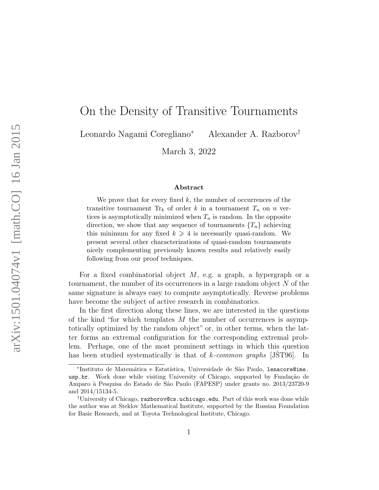# On the Density of Transitive Tournaments

Leonardo Nagami Coregliano<sup>∗</sup> Alexander A. Razborov†

March 3, 2022

#### Abstract

We prove that for every fixed  $k$ , the number of occurrences of the transitive tournament  $\text{Tr}_k$  of order k in a tournament  $T_n$  on n vertices is asymptotically minimized when  $T_n$  is random. In the opposite direction, we show that any sequence of tournaments  $\{T_n\}$  achieving this minimum for any fixed  $k \geq 4$  is necessarily quasi-random. We present several other characterizations of quasi-random tournaments nicely complementing previously known results and relatively easily following from our proof techniques.

For a fixed combinatorial object  $M$ , e.g. a graph, a hypergraph or a tournament, the number of its occurrences in a large random object  $N$  of the same signature is always easy to compute asymptotically. Reverse problems have become the subject of active research in combinatorics.

In the first direction along these lines, we are interested in the questions of the kind "for which templates  $M$  the number of occurrences is asymptotically optimized by the random object" or, in other terms, when the latter forms an extremal configuration for the corresponding extremal problem. Perhaps, one of the most prominent settings in which this question has been studied systematically is that of k-common graphs [\[JST96](#page-11-0)]. In

<sup>\*</sup>Instituto de Matemática e Estatística, Universidade de São Paulo, 1enacore@ime. usp.br. Work done while visiting University of Chicago, supported by Fundação de Amparo `a Pesquisa do Estado de S˜ao Paulo (FAPESP) under grants no. 2013/23720-9 and 2014/15134-5.

<sup>†</sup>University of Chicago, razborov@cs.uchicago.edu. Part of this work was done while the author was at Steklov Mathematical Institute, supported by the Russian Foundation for Basic Research, and at Toyota Technological Institute, Chicago.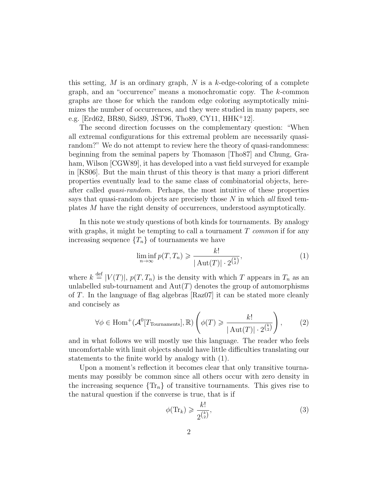this setting,  $M$  is an ordinary graph,  $N$  is a k-edge-coloring of a complete graph, and an "occurrence" means a monochromatic copy. The k-common graphs are those for which the random edge coloring asymptotically minimizes the number of occurrences, and they were studied in many papers, see e.g. [\[Erd62,](#page-11-1) [BR80,](#page-11-2) [Sid89,](#page-12-0) [JST96](#page-11-0), [Tho89,](#page-12-1) [CY11,](#page-11-3)  $HHK+12$  $HHK+12$ ].

The second direction focusses on the complementary question: "When all extremal configurations for this extremal problem are necessarily quasirandom?" We do not attempt to review here the theory of quasi-randomness: beginning from the seminal papers by Thomason [\[Tho87\]](#page-12-2) and Chung, Gra-ham, Wilson [\[CGW89\]](#page-11-5), it has developed into a vast field surveyed for example in [\[KS06\]](#page-11-6). But the main thrust of this theory is that many a priori different properties eventually lead to the same class of combinatorial objects, hereafter called quasi-random. Perhaps, the most intuitive of these properties says that quasi-random objects are precisely those  $N$  in which all fixed templates M have the right density of occurrences, understood asymptotically.

In this note we study questions of both kinds for tournaments. By analogy with graphs, it might be tempting to call a tournament  $T$  common if for any increasing sequence  $\{T_n\}$  of tournaments we have

<span id="page-1-0"></span>
$$
\liminf_{n \to \infty} p(T, T_n) \geqslant \frac{k!}{|\operatorname{Aut}(T)| \cdot 2^{\binom{k}{2}}},\tag{1}
$$

where  $k \stackrel{\text{def}}{=} |V(T)|$ ,  $p(T, T_n)$  is the density with which T appears in  $T_n$  as an unlabelled sub-tournament and  $Aut(T)$  denotes the group of automorphisms of T. In the language of flag algebras [\[Raz07\]](#page-11-7) it can be stated more cleanly and concisely as

<span id="page-1-2"></span>
$$
\forall \phi \in \text{Hom}^+(\mathcal{A}^0[T_{\text{Tournaments}}], \mathbb{R}) \left( \phi(T) \geqslant \frac{k!}{|\operatorname{Aut}(T)| \cdot 2^{\binom{k}{2}}} \right),\tag{2}
$$

and in what follows we will mostly use this language. The reader who feels uncomfortable with limit objects should have little difficulties translating our statements to the finite world by analogy with [\(1\)](#page-1-0).

Upon a moment's reflection it becomes clear that only transitive tournaments may possibly be common since all others occur with zero density in the increasing sequence  $\{\text{Tr}_n\}$  of transitive tournaments. This gives rise to the natural question if the converse is true, that is if

<span id="page-1-1"></span>
$$
\phi(\text{Tr}_k) \geqslant \frac{k!}{2^{\binom{k}{2}}},\tag{3}
$$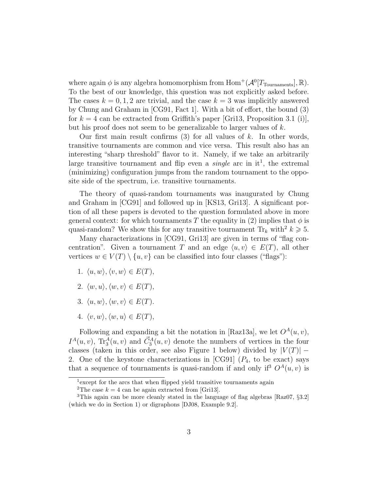where again  $\phi$  is any algebra homomorphism from  $\text{Hom}^+(\mathcal{A}^0[T_{\text{T}varaments}], \mathbb{R})$ . To the best of our knowledge, this question was not explicitly asked before. The cases  $k = 0, 1, 2$  are trivial, and the case  $k = 3$  was implicitly answered by Chung and Graham in [\[CG91,](#page-11-8) Fact 1]. With a bit of effort, the bound [\(3\)](#page-1-1) for  $k = 4$  can be extracted from Griffith's paper [\[Gri13,](#page-11-9) Proposition 3.1 (i)], but his proof does not seem to be generalizable to larger values of k.

Our first main result confirms  $(3)$  for all values of k. In other words, transitive tournaments are common and vice versa. This result also has an interesting "sharp threshold" flavor to it. Namely, if we take an arbitrarily large transitive tournament and flip even a *single* arc in  $it^1$  $it^1$ , the extremal (minimizing) configuration jumps from the random tournament to the opposite side of the spectrum, i.e. transitive tournaments.

The theory of quasi-random tournaments was inaugurated by Chung and Graham in [\[CG91\]](#page-11-8) and followed up in [\[KS13,](#page-11-10) [Gri13\]](#page-11-9). A significant portion of all these papers is devoted to the question formulated above in more general context: for which tournaments T the equality in [\(2\)](#page-1-2) implies that  $\phi$  is quasi-random? We show this for any transitive tournament  $\text{Tr}_k$  with  $k \geq 5$ .

Many characterizations in [\[CG91,](#page-11-8) [Gri13\]](#page-11-9) are given in terms of "flag concentration". Given a tournament T and an edge  $\langle u, v \rangle \in E(T)$ , all other vertices  $w \in V(T) \setminus \{u, v\}$  can be classified into four classes ("flags"):

- 1.  $\langle u, w \rangle, \langle v, w \rangle \in E(T)$ ,
- 2.  $\langle w, u \rangle, \langle w, v \rangle \in E(T)$ ,
- 3.  $\langle u, w \rangle, \langle w, v \rangle \in E(T)$ .
- 4.  $\langle v, w \rangle$ ,  $\langle w, u \rangle \in E(T)$ ,

Following and expanding a bit the notation in [\[Raz13a\]](#page-12-3), we let  $O<sup>A</sup>(u, v)$ ,  $I^A(u, v)$ ,  $\text{Tr}^A_3(u, v)$  and  $\vec{C}_3^A(u, v)$  denote the numbers of vertices in the four classes (taken in this order, see also Figure [1](#page-4-0) below) divided by  $|V(T)|$  – 2. One of the keystone characterizations in [\[CG91\]](#page-11-8)  $(P_4, t_0)$  be exact) says that a sequence of tournaments is quasi-random if and only if<sup>[3](#page-2-2)</sup>  $O<sup>A</sup>(u, v)$  is

<span id="page-2-0"></span><sup>&</sup>lt;sup>1</sup> except for the arcs that when flipped yield transitive tournaments again

<span id="page-2-2"></span><span id="page-2-1"></span><sup>&</sup>lt;sup>2</sup>The case  $k = 4$  can be again extracted from [\[Gri13\]](#page-11-9).

<sup>3</sup>This again can be more cleanly stated in the language of flag algebras [\[Raz07,](#page-11-7) §3.2] (which we do in Section [1\)](#page-3-0) or digraphons [\[DJ08,](#page-11-11) Example 9.2].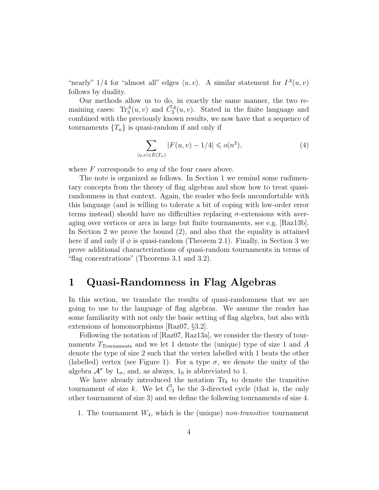"nearly"  $1/4$  for "almost all" edges  $\langle u, v \rangle$ . A similar statement for  $I^A(u, v)$ follows by duality.

Our methods allow us to do, in exactly the same manner, the two remaining cases:  $\text{Tr}_{3}^{A}(u, v)$  and  $\vec{C}_{3}^{A}(u, v)$ . Stated in the finite language and combined with the previously known results, we now have that a sequence of tournaments  $\{T_n\}$  is quasi-random if and only if

$$
\sum_{\langle u,v\rangle \in E(T_n)} |F(u,v) - 1/4| \leqslant o(n^2),\tag{4}
$$

where  $F$  corresponds to *any* of the four cases above.

The note is organized as follows. In Section [1](#page-3-0) we remind some rudimentary concepts from the theory of flag algebras and show how to treat quasirandomness in that context. Again, the reader who feels uncomfortable with this language (and is willing to tolerate a bit of coping with low-order error terms instead) should have no difficulties replacing  $\sigma$ -extensions with averaging over vertices or arcs in large but finite tournaments, see e.g. [\[Raz13b\]](#page-12-4). In Section [2](#page-6-0) we prove the bound [\(2\)](#page-1-2), and also that the equality is attained here if and only if  $\phi$  is quasi-random (Theorem [2.1\)](#page-7-0). Finally, in Section [3](#page-8-0) we prove additional characterizations of quasi-random tournaments in terms of "flag concentrations" (Theorems [3.1](#page-9-0) and [3.2\)](#page-10-0).

#### <span id="page-3-0"></span>1 Quasi-Randomness in Flag Algebras

In this section, we translate the results of quasi-randomness that we are going to use to the language of flag algebras. We assume the reader has some familiarity with not only the basic setting of flag algebra, but also with extensions of homomorphisms [\[Raz07,](#page-11-7) §3.2].

Following the notation of [\[Raz07,](#page-11-7) [Raz13a\]](#page-12-3), we consider the theory of tournaments  $T_{\text{Tournaments}}$  and we let 1 denote the (unique) type of size 1 and A denote the type of size 2 such that the vertex labelled with 1 beats the other (labelled) vertex (see Figure [1\)](#page-4-0). For a type  $\sigma$ , we denote the unity of the algebra  $\mathcal{A}^{\sigma}$  by  $1_{\sigma}$ , and, as always,  $1_0$  is abbreviated to 1.

We have already introduced the notation  $\text{Tr}_k$  to denote the transitive tournament of size k. We let  $\vec{C}_3$  be the 3-directed cycle (that is, the only other tournament of size 3) and we define the following tournaments of size 4.

1. The tournament  $W_4$ , which is the (unique) non-transitive tournament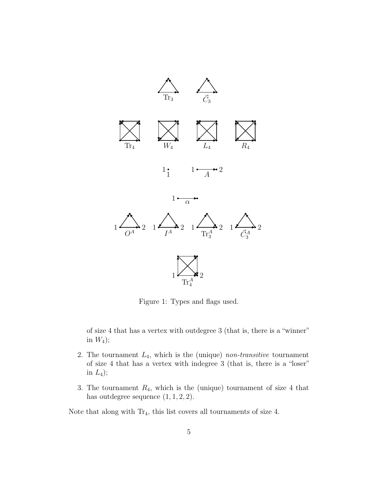<span id="page-4-0"></span>

Figure 1: Types and flags used.

of size 4 that has a vertex with outdegree 3 (that is, there is a "winner" in  $W_4$ );

- 2. The tournament  $L_4$ , which is the (unique) non-transitive tournament of size 4 that has a vertex with indegree 3 (that is, there is a "loser" in  $L_4$ );
- 3. The tournament  $R_4$ , which is the (unique) tournament of size 4 that has outdegree sequence  $(1, 1, 2, 2)$ .

Note that along with  $Tr_4$ , this list covers all tournaments of size 4.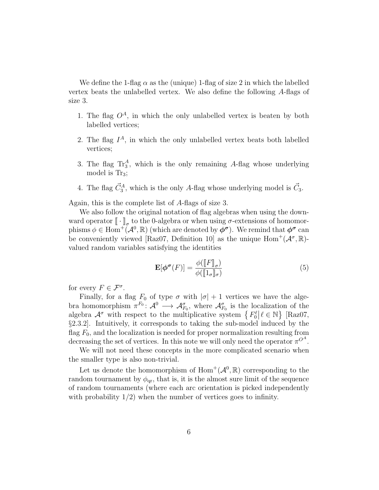We define the 1-flag  $\alpha$  as the (unique) 1-flag of size 2 in which the labelled vertex beats the unlabelled vertex. We also define the following A-flags of size 3.

- 1. The flag  $O^A$ , in which the only unlabelled vertex is beaten by both labelled vertices;
- 2. The flag  $I^A$ , in which the only unlabelled vertex beats both labelled vertices;
- 3. The flag  $\text{Tr}_{3}^{A}$ , which is the only remaining A-flag whose underlying model is  $\text{Tr}_3$ ;
- 4. The flag  $\vec{C}_3^A$ , which is the only A-flag whose underlying model is  $\vec{C}_3$ .

Again, this is the complete list of A-flags of size 3.

We also follow the original notation of flag algebras when using the downward operator  $[\![\cdot]\!]_{\sigma}$  to the 0-algebra or when using  $\sigma$ -extensions of homomor-<br>phisms  $\phi \in \text{Hom}^+(\Lambda^0, \mathbb{R})$  (which are denoted by  $\phi^{\sigma}$ ). We remind that  $\phi^{\sigma}$  can phisms  $\phi \in \text{Hom}^{\pm}(\mathcal{A}^0,\mathbb{R})$  (which are denoted by  $\phi^{\sigma}$ ). We remind that  $\phi^{\sigma}$  can be conveniently viewed [\[Raz07,](#page-11-7) Definition 10] as the unique  $Hom^+(\mathcal{A}^\sigma,\mathbb{R})$ valued random variables satisfying the identities

$$
\mathbf{E}[\boldsymbol{\phi}^{\boldsymbol{\sigma}}(F)] = \frac{\phi([\![F]\!]_{\sigma})}{\phi([\![1_{\sigma}]\!]_{\sigma})} \tag{5}
$$

for every  $F \in \mathcal{F}^{\sigma}$ .

Finally, for a flag  $F_0$  of type  $\sigma$  with  $|\sigma| + 1$  vertices we have the algebra homomorphism  $\pi^{F_0} \colon \mathcal{A}^0 \longrightarrow \mathcal{A}^{\sigma}_{F_0}$ , where  $\mathcal{A}^{\sigma}_{F_0}$  is the localization of the algebra  $\mathcal{A}^{\sigma}$  with respect to the multiplicative system  $\{F_0^{\ell} | \ell \in \mathbb{N}\}\$  [\[Raz07,](#page-11-7) §2.3.2]. Intuitively, it corresponds to taking the sub-model induced by the flag  $F_0$ , and the localization is needed for proper normalization resulting from decreasing the set of vertices. In this note we will only need the operator  $\pi^{O^A}$ .

We will not need these concepts in the more complicated scenario when the smaller type is also non-trivial.

Let us denote the homomorphism of  $\text{Hom}^+(\mathcal{A}^0,\mathbb{R})$  corresponding to the random tournament by  $\phi_{\text{ar}}$ , that is, it is the almost sure limit of the sequence of random tournaments (where each arc orientation is picked independently with probability  $1/2$ ) when the number of vertices goes to infinity.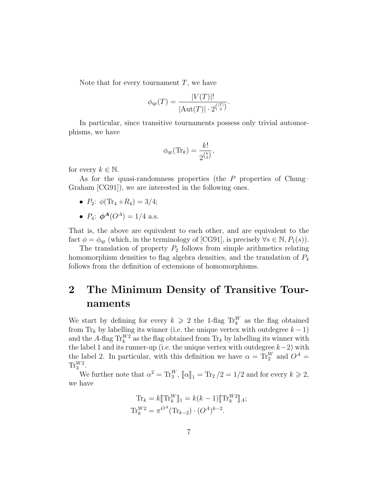Note that for every tournament  $T$ , we have

$$
\phi_{\text{qr}}(T) = \frac{|V(T)|!}{|\text{Aut}(T)| \cdot 2^{\binom{|T|}{2}}}.
$$

In particular, since transitive tournaments possess only trivial automorphisms, we have

$$
\phi_{\text{qr}}(\text{Tr}_k) = \frac{k!}{2^{\binom{k}{2}}},
$$

for every  $k \in \mathbb{N}$ .

As for the quasi-randomness properties (the  $P$  properties of Chung– Graham [\[CG91\]](#page-11-8)), we are interested in the following ones.

- $P_2$ :  $\phi(\text{Tr}_4 + R_4) = 3/4$ ;
- $P_4$ :  $\phi^A(O^A) = 1/4$  a.s.

That is, the above are equivalent to each other, and are equivalent to the fact  $\phi = \phi_{qr}$  (which, in the terminology of [\[CG91\]](#page-11-8), is precisely  $\forall s \in \mathbb{N}, P_1(s)$ ).

The translation of property  $P_2$  follows from simple arithmetics relating homomorphism densities to flag algebra densities, and the translation of  $P_4$ follows from the definition of extensions of homomorphisms.

### <span id="page-6-0"></span>2 The Minimum Density of Transitive Tournaments

We start by defining for every  $k \geq 2$  the 1-flag  $\text{Tr}_{k}^{W}$  as the flag obtained from Tr<sub>k</sub> by labelling its winner (i.e. the unique vertex with outdegree  $k - 1$ ) and the A-flag  $\text{Tr}_k^{W2}$  as the flag obtained from  $\text{Tr}_k$  by labelling its winner with the label 1 and its runner-up (i.e. the unique vertex with outdegree  $k-2$ ) with the label 2. In particular, with this definition we have  $\alpha = \text{Tr}_{2}^{W}$  and  $O^{A} =$  $\text{Tr}_{3}^{W2}.$ 

We further note that  $\alpha^2 = \text{Tr}_3^W$ ,  $[\![\alpha]\!]_1 = \text{Tr}_2/2 = 1/2$  and for every  $k \geq 2$ , we have

$$
\mathrm{Tr}_{k} = k[\![\mathrm{Tr}_{k}^{W}]\!]_{1} = k(k-1)[\![\mathrm{Tr}_{k}^{W2}]\!]_{A};
$$
  

$$
\mathrm{Tr}_{k}^{W2} = \pi^{O^{A}}(\mathrm{Tr}_{k-2}) \cdot (O^{A})^{k-2}.
$$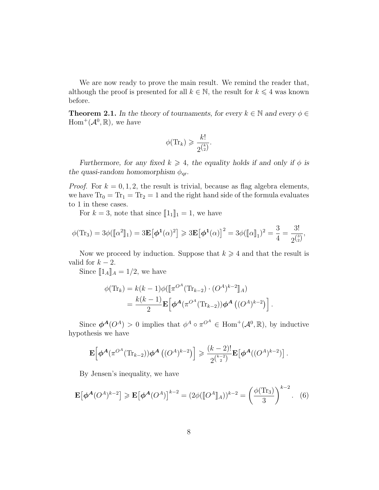We are now ready to prove the main result. We remind the reader that, although the proof is presented for all  $k \in \mathbb{N}$ , the result for  $k \leq 4$  was known before.

<span id="page-7-0"></span>**Theorem 2.1.** In the theory of tournaments, for every  $k \in \mathbb{N}$  and every  $\phi \in$  $Hom^+(\mathcal{A}^0,\mathbb{R})$ , we have

$$
\phi(\mathrm{Tr}_k) \geqslant \frac{k!}{2^{\binom{k}{2}}}.
$$

Furthermore, for any fixed  $k \geq 4$ , the equality holds if and only if  $\phi$  is the quasi-random homomorphism  $\phi_{qr}$ .

*Proof.* For  $k = 0, 1, 2$ , the result is trivial, because as flag algebra elements, we have  $Tr_0 = Tr_1 = Tr_2 = 1$  and the right hand side of the formula evaluates to 1 in these cases.

For  $k = 3$ , note that since  $[\![1_1]\!]_1 = 1$ , we have

$$
\phi(\text{Tr}_3) = 3\phi(\llbracket \alpha^2 \rrbracket_1) = 3\mathbf{E}[\phi^1(\alpha)^2] \ge 3\mathbf{E}[\phi^1(\alpha)]^2 = 3\phi(\llbracket \alpha \rrbracket_1)^2 = \frac{3}{4} = \frac{3!}{2^{\binom{3}{2}}},
$$

Now we proceed by induction. Suppose that  $k \geq 4$  and that the result is valid for  $k - 2$ .

Since  $[\![1_A]\!]_A = 1/2$ , we have

$$
\phi(\text{Tr}_k) = k(k-1)\phi([\pi^{O^A}(\text{Tr}_{k-2}) \cdot (O^A)^{k-2}]]_A)
$$
  
=  $\frac{k(k-1)}{2} \mathbf{E} [\phi^A(\pi^{O^A}(\text{Tr}_{k-2})) \phi^A((O^A)^{k-2})].$ 

Since  $\phi^A(O^A) > 0$  implies that  $\phi^A \circ \pi^{O^A} \in \text{Hom}^+(\mathcal{A}^0, \mathbb{R})$ , by inductive hypothesis we have

$$
\mathbf{E}\Big[\boldsymbol{\phi}^{\mathcal{A}}(\pi^{O^A}(\text{Tr}_{k-2}))\boldsymbol{\phi}^{\mathcal{A}}\left((O^A)^{k-2}\right)\Big] \geqslant \frac{(k-2)!}{2^{\binom{k-2}{2}}}\mathbf{E}\big[\boldsymbol{\phi}^{\mathcal{A}}((O^A)^{k-2})\big].
$$

By Jensen's inequality, we have

<span id="page-7-1"></span>
$$
\mathbf{E}\big[\boldsymbol{\phi}^{\mathcal{A}}(O^{\mathcal{A}})^{k-2}\big] \geqslant \mathbf{E}\big[\boldsymbol{\phi}^{\mathcal{A}}(O^{\mathcal{A}})\big]^{k-2} = (2\phi(\llbracket O^{\mathcal{A}}\rrbracket_{\mathcal{A}}))^{k-2} = \left(\frac{\phi(\text{Tr}_{3})}{3}\right)^{k-2}.
$$
 (6)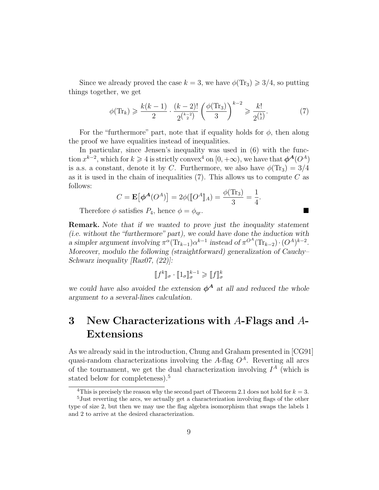Since we already proved the case  $k = 3$ , we have  $\phi(\text{Tr}_3) \geq 3/4$ , so putting things together, we get

<span id="page-8-2"></span>
$$
\phi(\text{Tr}_k) \geqslant \frac{k(k-1)}{2} \cdot \frac{(k-2)!}{2^{\binom{k-2}{2}}} \left(\frac{\phi(\text{Tr}_3)}{3}\right)^{k-2} \geqslant \frac{k!}{2^{\binom{k}{2}}}.\tag{7}
$$

For the "furthermore" part, note that if equality holds for  $\phi$ , then along the proof we have equalities instead of inequalities.

In particular, since Jensen's inequality was used in [\(6\)](#page-7-1) with the function  $x^{k-2}$ , which for  $k \geq 4$  $k \geq 4$  is strictly convex<sup>4</sup> on  $[0, +\infty)$ , we have that  $\phi^{\mathbf{A}}(O^{\mathbf{A}})$ is a.s. a constant, denote it by C. Furthermore, we also have  $\phi(\text{Tr}_3) = 3/4$ as it is used in the chain of inequalities  $(7)$ . This allows us to compute C as follows:

$$
C = \mathbf{E}\big[\boldsymbol{\phi}^{\mathbf{A}}(O^{\mathbf{A}})\big] = 2\phi(\llbracket O^{\mathbf{A}}\rrbracket_{\mathbf{A}}) = \frac{\phi(\text{Tr}_{3})}{3} = \frac{1}{4}.
$$

Therefore  $\phi$  satisfies  $P_4$ , hence  $\phi = \phi_{\text{ar}}$ .

Remark. Note that if we wanted to prove just the inequality statement (i.e. without the "furthermore" part), we could have done the induction with a simpler argument involving  $\pi^{\alpha}(\text{Tr}_{k-1})\alpha^{k-1}$  instead of  $\pi^{O^A}(\text{Tr}_{k-2})\cdot (O^A)^{k-2}$ . Moreover, modulo the following (straightforward) generalization of Cauchy– Schwarz inequality [\[Raz07,](#page-11-7) (22)]:

$$
[[f^k]]_{\sigma} \cdot [[1_{\sigma}]]_{\sigma}^{k-1} \geq [[f]]_{\sigma}^k
$$

we could have also avoided the extension  $\phi^A$  at all and reduced the whole argument to a several-lines calculation.

## <span id="page-8-0"></span>3 New Characterizations with  $A$ -Flags and  $A$ -Extensions

As we already said in the introduction, Chung and Graham presented in [\[CG91\]](#page-11-8) quasi-random characterizations involving the A-flag  $O<sup>A</sup>$ . Reverting all arcs of the tournament, we get the dual characterization involving  $I^A$  (which is stated below for completeness).<sup>[5](#page-8-3)</sup>

<span id="page-8-3"></span><span id="page-8-1"></span><sup>&</sup>lt;sup>4</sup>This is precisely the reason why the second part of Theorem [2.1](#page-7-0) does not hold for  $k = 3$ .

<sup>5</sup>Just reverting the arcs, we actually get a characterization involving flags of the other type of size 2, but then we may use the flag algebra isomorphism that swaps the labels 1 and 2 to arrive at the desired characterization.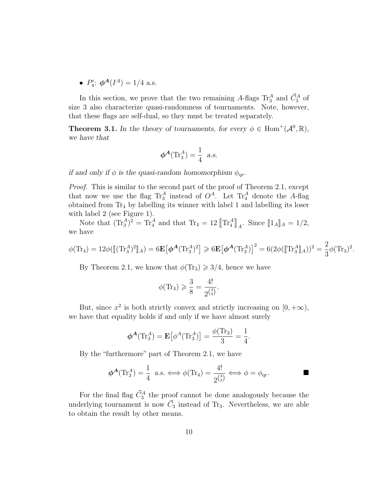•  $P'_4$ :  $\phi^A(I^A) = 1/4$  a.s.

In this section, we prove that the two remaining A-flags  $\text{Tr}^A_3$  and  $\vec{C}_3^A$  of size 3 also characterize quasi-randomness of tournaments. Note, however, that these flags are self-dual, so they must be treated separately.

<span id="page-9-0"></span>**Theorem 3.1.** In the theory of tournaments, for every  $\phi \in \text{Hom}^+(\mathcal{A}^0, \mathbb{R})$ , we have that

$$
\phi^A(\text{Tr}_3^A) = \frac{1}{4} \text{ a.s.}
$$

if and only if  $\phi$  is the quasi-random homomorphism  $\phi_{qr}$ .

Proof. This is similar to the second part of the proof of Theorem [2.1,](#page-7-0) except that now we use the flag  $\text{Tr}_{3}^{A}$  instead of  $O^{A}$ . Let  $\text{Tr}_{4}^{A}$  denote the A-flag obtained from  $Tr_4$  by labelling its winner with label 1 and labelling its loser with label 2 (see Figure [1\)](#page-4-0).

Note that  $(\text{Tr}_3^A)^2 = \text{Tr}_4^A$  and that  $\text{Tr}_4 = 12 \llbracket \text{Tr}_4^A \rrbracket_A$ . Since  $\llbracket 1_A \rrbracket_A = 1/2$ , we have

$$
\phi(\text{Tr}_4) = 12\phi([\text{Tr}_3^A)^2]_A) = 6\mathbf{E}[\phi^A(\text{Tr}_3^A)^2] \ge 6\mathbf{E}[\phi^A(\text{Tr}_3^A)]^2 = 6(2\phi([\text{Tr}_3^A]_A))^2 = \frac{2}{3}\phi(\text{Tr}_3)^2.
$$

By Theorem [2.1,](#page-7-0) we know that  $\phi(\text{Tr}_3) \geq 3/4$ , hence we have

$$
\phi(\mathrm{Tr}_4) \geqslant \frac{3}{8} = \frac{4!}{2^{\binom{4}{2}}}.
$$

But, since  $x^2$  is both strictly convex and strictly increasing on  $[0, +\infty)$ , we have that equality holds if and only if we have almost surely

$$
\boldsymbol{\phi}^{\mathbf{A}}(\mathrm{Tr}_{3}^{\mathbf{A}})=\mathbf{E}\big[\phi^{\mathbf{A}}(\mathrm{Tr}_{3}^{\mathbf{A}})\big]=\frac{\phi(\mathrm{Tr}_{3})}{3}=\frac{1}{4}.
$$

By the "furthermore" part of Theorem [2.1,](#page-7-0) we have

$$
\phi^A(\mathrm{Tr}_3^A) = \frac{1}{4} \text{ a.s.} \Longleftrightarrow \phi(\mathrm{Tr}_4) = \frac{4!}{2^{\binom{4}{2}}} \Longleftrightarrow \phi = \phi_{\mathrm{qr}}.
$$

For the final flag  $\vec{C}_3^A$  the proof cannot be done analogously because the underlying tournament is now  $\vec{C}_3$  instead of Tr<sub>3</sub>. Nevertheless, we are able to obtain the result by other means.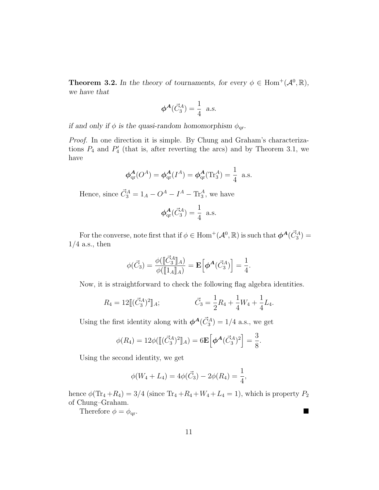<span id="page-10-0"></span>**Theorem 3.2.** In the theory of tournaments, for every  $\phi \in \text{Hom}^+(\mathcal{A}^0, \mathbb{R})$ , we have that

$$
\phi^A(\vec{C}_3^A) = \frac{1}{4} \text{ a.s.}
$$

if and only if  $\phi$  is the quasi-random homomorphism  $\phi_{qr}$ .

Proof. In one direction it is simple. By Chung and Graham's characterizations  $P_4$  and  $P'_4$  (that is, after reverting the arcs) and by Theorem [3.1,](#page-9-0) we have

$$
\phi_{\text{qr}}^{A}(O^{A}) = \phi_{\text{qr}}^{A}(I^{A}) = \phi_{\text{qr}}^{A}(\text{Tr}_{3}^{A}) = \frac{1}{4}
$$
 a.s.

Hence, since  $\vec{C}_3^A = 1_A - O^A - I^A - \text{Tr}_3^A$ , we have

$$
\phi_{\text{qr}}^{\mathbf{A}}(\vec{C}_3^A) = \frac{1}{4} \text{ a.s.}
$$

For the converse, note first that if  $\phi \in \text{Hom}^+(\mathcal{A}^0, \mathbb{R})$  is such that  $\phi^{\mathcal{A}}(\vec{C}_3^A) =$  $1/4$  a.s., then

$$
\phi(\vec{C}_3) = \frac{\phi(\llbracket \vec{C}_3^A \rrbracket_A)}{\phi(\llbracket 1_A \rrbracket_A)} = \mathbf{E}\Big[\boldsymbol{\phi}^{\mathbf{A}}(\vec{C}_3^A)\Big] = \frac{1}{4}.
$$

Now, it is straightforward to check the following flag algebra identities.

$$
R_4 = 12 \left[ \left( \vec{C}_3^A \right)^2 \right]_A; \qquad \qquad \vec{C}_3 = \frac{1}{2} R_4 + \frac{1}{4} W_4 + \frac{1}{4} L_4.
$$

Using the first identity along with  $\phi^A(\vec{C}_3^A) = 1/4$  a.s., we get

$$
\phi(R_4) = 12\phi([\[(\vec{C}_3^A)^2]\]_A) = 6\mathbf{E} \Big[\phi^A(\vec{C}_3^A)^2\Big] = \frac{3}{8}.
$$

Using the second identity, we get

$$
\phi(W_4 + L_4) = 4\phi(\vec{C}_3) - 2\phi(R_4) = \frac{1}{4},
$$

hence  $\phi(\text{Tr}_4 + R_4) = 3/4$  (since  $\text{Tr}_4 + R_4 + W_4 + L_4 = 1$ ), which is property  $P_2$ of Chung–Graham.

Therefore  $\phi = \phi_{\text{qr}}$ .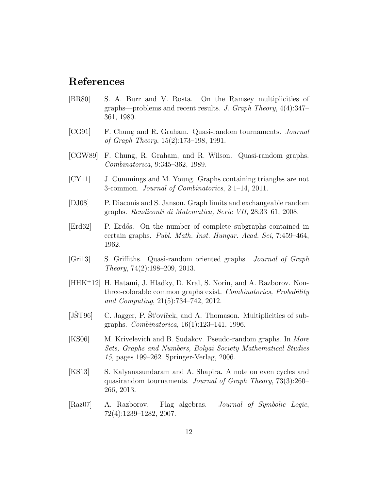#### References

- <span id="page-11-2"></span>[BR80] S. A. Burr and V. Rosta. On the Ramsey multiplicities of graphs—problems and recent results. J. Graph Theory, 4(4):347– 361, 1980.
- <span id="page-11-8"></span>[CG91] F. Chung and R. Graham. Quasi-random tournaments. Journal of Graph Theory, 15(2):173–198, 1991.
- <span id="page-11-5"></span>[CGW89] F. Chung, R. Graham, and R. Wilson. Quasi-random graphs. Combinatorica, 9:345–362, 1989.
- <span id="page-11-3"></span>[CY11] J. Cummings and M. Young. Graphs containing triangles are not 3-common. Journal of Combinatorics, 2:1–14, 2011.
- <span id="page-11-11"></span>[DJ08] P. Diaconis and S. Janson. Graph limits and exchangeable random graphs. Rendiconti di Matematica, Serie VII, 28:33–61, 2008.
- <span id="page-11-1"></span>[Erd62] P. Erd˝os. On the number of complete subgraphs contained in certain graphs. Publ. Math. Inst. Hungar. Acad. Sci, 7:459–464, 1962.
- <span id="page-11-9"></span>[Gri13] S. Griffiths. Quasi-random oriented graphs. Journal of Graph Theory, 74(2):198–209, 2013.
- <span id="page-11-4"></span>[HHK<sup>+</sup>12] H. Hatami, J. Hladky, D. Kral, S. Norin, and A. Razborov. Nonthree-colorable common graphs exist. Combinatorics, Probability and Computing, 21(5):734–742, 2012.
- <span id="page-11-0"></span>[JST96]  $\;$  C. Jagger, P. St'ovíček, and A. Thomason. Multiplicities of subgraphs. Combinatorica, 16(1):123–141, 1996.
- <span id="page-11-6"></span>[KS06] M. Krivelevich and B. Sudakov. Pseudo-random graphs. In More Sets, Graphs and Numbers, Bolyai Society Mathematical Studies 15, pages 199–262. Springer-Verlag, 2006.
- <span id="page-11-10"></span>[KS13] S. Kalyanasundaram and A. Shapira. A note on even cycles and quasirandom tournaments. Journal of Graph Theory, 73(3):260– 266, 2013.
- <span id="page-11-7"></span>[Raz07] A. Razborov. Flag algebras. Journal of Symbolic Logic, 72(4):1239–1282, 2007.